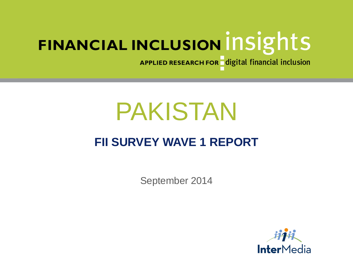APPLIED RESEARCH FOR digital financial inclusion

# PAKISTAN

# **FII SURVEY WAVE 1 REPORT**

September 2014

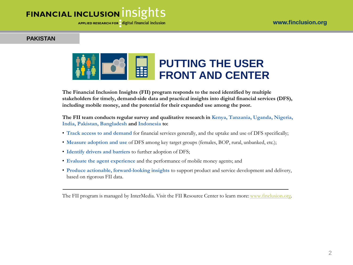APPLIED RESEARCH FOR digital financial inclusion

### **PAKISTAN**



**The Financial Inclusion Insights (FII) program responds to the need identified by multiple stakeholders for timely, demand-side data and practical insights into digital financial services (DFS), including mobile money, and the potential for their expanded use among the poor.** 

**The FII team conducts regular survey and qualitative research in Kenya, Tanzania, Uganda, Nigeria, India, Pakistan, Bangladesh and Indonesia to:** 

- **Track access to and demand** for financial services generally, and the uptake and use of DFS specifically;
- **Measure adoption and use** of DFS among key target groups (females, BOP, rural, unbanked, etc.);
- **Identify drivers and barriers** to further adoption of DFS;
- **Evaluate the agent experience** and the performance of mobile money agents; and
- **Produce actionable, forward-looking insights** to support product and service development and delivery, based on rigorous FII data.

The FII program is managed by InterMedia. Visit the FII Resource Center to learn more: [www.finclusion.org.](http://www.finclusion.org/)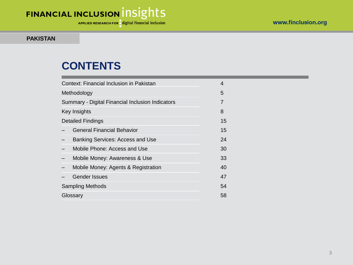APPLIED RESEARCH FOR digital financial inclusion

#### **PAKISTAN**

## **CONTENTS**

| Context: Financial Inclusion in Pakistan         | 4              |
|--------------------------------------------------|----------------|
| Methodology                                      | 5              |
| Summary - Digital Financial Inclusion Indicators | $\overline{7}$ |
| Key Insights                                     | 8              |
| <b>Detailed Findings</b>                         | 15             |
| <b>General Financial Behavior</b>                | 15             |
| <b>Banking Services: Access and Use</b>          | 24             |
| Mobile Phone: Access and Use                     | 30             |
| Mobile Money: Awareness & Use                    | 33             |
| Mobile Money: Agents & Registration              | 40             |
| <b>Gender Issues</b>                             | 47             |
| <b>Sampling Methods</b>                          | 54             |
| Glossary                                         | 58             |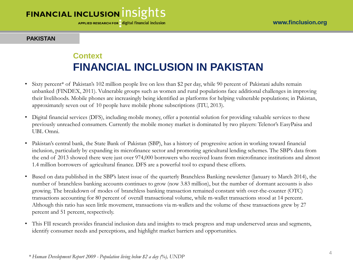APPLIED RESEARCH FOR digital financial inclusion

#### **PAKISTAN**

### **Context FINANCIAL INCLUSION IN PAKISTAN**

- Sixty percent\* of Pakistan's 102 million people live on less than \$2 per day, while 90 percent of Pakistani adults remain unbanked (FINDEX, 2011). Vulnerable groups such as women and rural populations face additional challenges in improving their livelihoods. Mobile phones are increasingly being identified as platforms for helping vulnerable populations; in Pakistan, approximately seven out of 10 people have mobile phone subscriptions (ITU, 2013).
- Digital financial services (DFS), including mobile money, offer a potential solution for providing valuable services to these previously unreached consumers. Currently the mobile money market is dominated by two players: Telenor's EasyPaisa and UBL Omni.
- Pakistan's central bank, the State Bank of Pakistan (SBP), has a history of progressive action in working toward financial inclusion, particularly by expanding its microfinance sector and promoting agricultural lending schemes. The SBP's data from the end of 2013 showed there were just over 974,000 borrowers who received loans from microfinance institutions and almost 1.4 million borrowers of agricultural finance. DFS are a powerful tool to expand these efforts.
- Based on data published in the SBP's latest issue of the quarterly Branchless Banking newsletter (January to March 2014), the number of branchless banking accounts continues to grow (now 3.83 million), but the number of dormant accounts is also growing. The breakdown of modes of branchless banking transaction remained constant with over-the-counter (OTC) transactions accounting for 80 percent of overall transactional volume, while m-wallet transactions stood at 14 percent. Although this ratio has seen little movement, transactions via m-wallets and the volume of these transactions grew by 27 percent and 51 percent, respectively.
- This FII research provides financial inclusion data and insights to track progress and map underserved areas and segments, identify consumer needs and perceptions, and highlight market barriers and opportunities.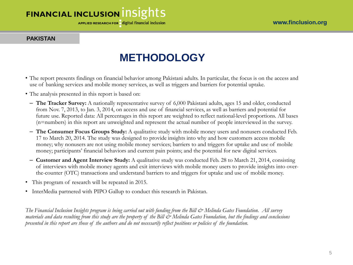APPLIED RESEARCH FOR digital financial inclusion

#### **PAKISTAN**

# **METHODOLOGY**

- The report presents findings on financial behavior among Pakistani adults. In particular, the focus is on the access and use of banking services and mobile money services, as well as triggers and barriers for potential uptake.
- The analysis presented in this report is based on:
	- **The Tracker Survey:** A nationally representative survey of 6,000 Pakistani adults, ages 15 and older, conducted from Nov. 7, 2013, to Jan. 3, 2014, on access and use of financial services, as well as barriers and potential for future use. Reported data: All percentages in this report are weighted to reflect national-level proportions. All bases (n=numbers) in this report are unweighted and represent the actual number of people interviewed in the survey.
	- **The Consumer Focus Groups Study:** A qualitative study with mobile money users and nonusers conducted Feb. 17 to March 20, 2014. The study was designed to provide insights into why and how customers access mobile money; why nonusers are not using mobile money services; barriers to and triggers for uptake and use of mobile money; participants' financial behaviors and current pain points; and the potential for new digital services.
	- **Customer and Agent Interview Study:** A qualitative study was conducted Feb. 28 to March 21, 2014, consisting of interviews with mobile money agents and exit interviews with mobile money users to provide insights into overthe-counter (OTC) transactions and understand barriers to and triggers for uptake and use of mobile money.
- This program of research will be repeated in 2015.
- InterMedia partnered with PIPO Gallup to conduct this research in Pakistan.

*The Financial Inclusion Insights program is being carried out with funding from the Bill & Melinda Gates Foundation. All survey materials and data resulting from this study are the property of the Bill & Melinda Gates Foundation, but the findings and conclusions presented in this report are those of the authors and do not necessarily reflect positions or policies of the foundation.*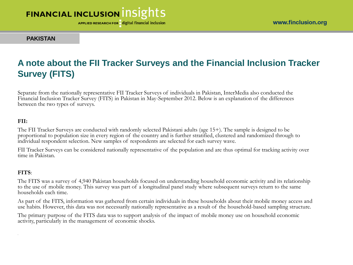APPLIED RESEARCH FOR digital financial inclusion

www.finclusion.org

#### **PAKISTAN**

### **A note about the FII Tracker Surveys and the Financial Inclusion Tracker Survey (FITS)**

Separate from the nationally representative FII Tracker Surveys of individuals in Pakistan, InterMedia also conducted the Financial Inclusion Tracker Survey (FITS) in Pakistan in May-September 2012. Below is an explanation of the differences between the two types of surveys.

#### **FII:**

The FII Tracker Surveys are conducted with randomly selected Pakistani adults (age 15+). The sample is designed to be proportional to population size in every region of the country and is further stratified, clustered and randomized through to individual respondent selection. New samples of respondents are selected for each survey wave.

FII Tracker Surveys can be considered nationally representative of the population and are thus optimal for tracking activity over time in Pakistan.

#### **FITS**:

.

The FITS was a survey of 4,940 Pakistan households focused on understanding household economic activity and its relationship to the use of mobile money. This survey was part of a longitudinal panel study where subsequent surveys return to the same households each time.

As part of the FITS, information was gathered from certain individuals in these households about their mobile money access and use habits. However, this data was not necessarily nationally representative as a result of the household-based sampling structure.

The primary purpose of the FITS data was to support analysis of the impact of mobile money use on household economic activity, particularly in the management of economic shocks.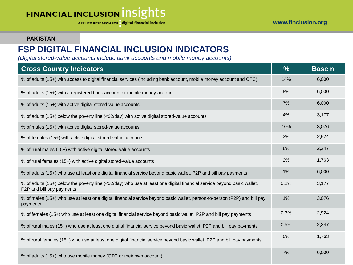APPLIED RESEARCH FOR digital financial inclusion

#### www.finclusion.org

#### **PAKISTAN**

### **FSP DIGITAL FINANCIAL INCLUSION INDICATORS**

*(Digital stored-value accounts include bank accounts and mobile money accounts)*

| <b>Cross Country Indicators</b>                                                                                                                      | $\frac{9}{6}$ | <b>Basen</b> |
|------------------------------------------------------------------------------------------------------------------------------------------------------|---------------|--------------|
| % of adults (15+) with access to digital financial services (including bank account, mobile money account and OTC)                                   | 14%           | 6,000        |
| % of adults (15+) with a registered bank account or mobile money account                                                                             | 8%            | 6,000        |
| % of adults (15+) with active digital stored-value accounts                                                                                          | 7%            | 6,000        |
| % of adults (15+) below the poverty line (<\$2/day) with active digital stored-value accounts                                                        | 4%            | 3,177        |
| % of males (15+) with active digital stored-value accounts                                                                                           | 10%           | 3,076        |
| % of females (15+) with active digital stored-value accounts                                                                                         | 3%            | 2,924        |
| % of rural males (15+) with active digital stored-value accounts                                                                                     | 8%            | 2,247        |
| % of rural females (15+) with active digital stored-value accounts                                                                                   | 2%            | 1,763        |
| % of adults (15+) who use at least one digital financial service beyond basic wallet, P2P and bill pay payments                                      | 1%            | 6,000        |
| % of adults (15+) below the poverty line (<\$2/day) who use at least one digital financial service beyond basic wallet,<br>P2P and bill pay payments | 0.2%          | 3,177        |
| % of males (15+) who use at least one digital financial service beyond basic wallet, person-to-person (P2P) and bill pay<br>payments                 | 1%            | 3,076        |
| % of females (15+) who use at least one digital financial service beyond basic wallet, P2P and bill pay payments                                     | 0.3%          | 2,924        |
| % of rural males (15+) who use at least one digital financial service beyond basic wallet, P2P and bill pay payments                                 | 0.5%          | 2,247        |
| % of rural females (15+) who use at least one digital financial service beyond basic wallet, P2P and bill pay payments                               | 0%            | 1,763        |
| % of adults (15+) who use mobile money (OTC or their own account)                                                                                    | 7%            | 6,000        |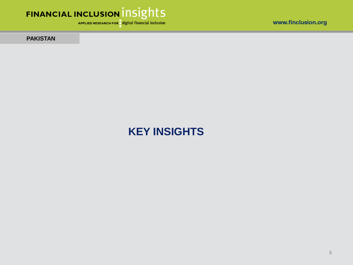

APPLIED RESEARCH FOR digital financial inclusion

**PAKISTAN** 

# **KEY INSIGHTS**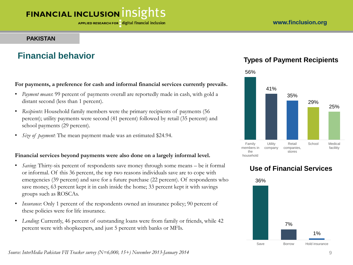### **PAKISTAN**

### **Financial behavior**

#### **For payments, a preference for cash and informal financial services currently prevails.**

- *Payment means*: 99 percent of payments overall are reportedly made in cash, with gold a distant second (less than 1 percent).
- *Recipients*: Household family members were the primary recipients of payments (56 percent); utility payments were second (41 percent) followed by retail (35 percent) and school payments (29 percent).
- *Size of payment*: The mean payment made was an estimated \$24.94.

### **Financial services beyond payments were also done on a largely informal level.**

- *Saving*: Thirty-six percent of respondents save money through some means be it formal or informal. Of this 36 percent, the top two reasons individuals save are to cope with emergencies (39 percent) and save for a future purchase (22 percent). Of respondents who save money, 63 percent kept it in cash inside the home; 33 percent kept it with savings groups such as ROSCAs.
- *Insurance*: Only 1 percent of the respondents owned an insurance policy; 90 percent of these policies were for life insurance.
- *Lending*: Currently, 46 percent of outstanding loans were from family or friends, while 42 percent were with shopkeepers, and just 5 percent with banks or MFIs.

### **Types of Payment Recipients**



# 36% 7% 1% Save Borrow Hold insurance

### **Use of Financial Services**

*Source: InterMedia Pakistan FII Tracker survey (N=6,000, 15+) November 2013-January 2014*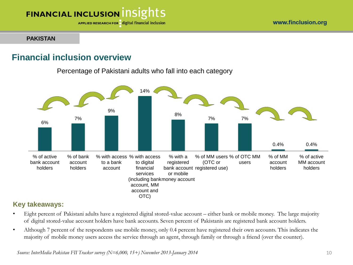APPLIED RESEARCH FOR digital financial inclusion

#### **PAKISTAN**

### **Financial inclusion overview**

Percentage of Pakistani adults who fall into each category



### **Key takeaways:**

- Eight percent of Pakistani adults have a registered digital stored-value account either bank or mobile money. The large majority of digital stored-value account holders have bank accounts. Seven percent of Pakistanis are registered bank account holders.
- Although 7 percent of the respondents use mobile money, only 0.4 percent have registered their own accounts. This indicates the majority of mobile money users access the service through an agent, through family or through a friend (over the counter).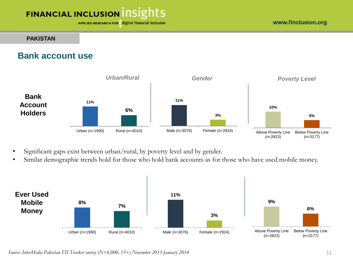APPLIED RESEARCH FOR digital financial inclusion

#### www.finclusion.org

#### **PAKISTAN**

### **Bank account use**



- Significant gaps exist between urban/rural, by poverty level and by gender.
- Similar demographic trends hold for those who hold bank accounts as for those who have used mobile money.



*Source: InterMedia Pakistan FII Tracker survey (N=6,000, 15+) November 2013-January 2014*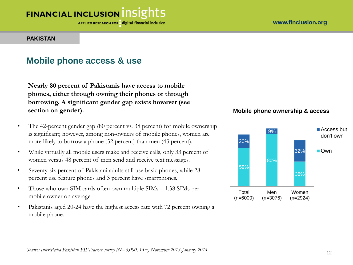#### www.finclusion.org

# FINANCIAL INCLUSION INSIGHTS

APPLIED RESEARCH FOR digital financial inclusion

#### **PAKISTAN**

### **Mobile phone access & use**

**Nearly 80 percent of Pakistanis have access to mobile phones, either through owning their phones or through borrowing. A significant gender gap exists however (see section on gender).**

- The 42-percent gender gap (80 percent vs. 38 percent) for mobile ownership is significant; however, among non-owners of mobile phones, women are more likely to borrow a phone (52 percent) than men (43 percent).
- While virtually all mobile users make and receive calls, only 33 percent of women versus 48 percent of men send and receive text messages.
- Seventy-six percent of Pakistani adults still use basic phones, while 28 percent use feature phones and 3 percent have smartphones.
- Those who own SIM cards often own multiple SIMs 1.38 SIMs per mobile owner on average.
- Pakistanis aged 20-24 have the highest access rate with 72 percent owning a mobile phone.

### **Mobile phone ownership & access**

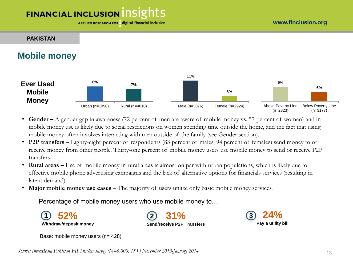#### www.finclusion.org

# **FINANCIAL INCLUSION INSIGHTS**

APPLIED RESEARCH FOR digital financial inclusion

#### **PAKISTAN**

### **Mobile money**



- **Gender –** A gender gap in awareness (72 percent of men are aware of mobile money vs. 57 percent of women) and in mobile money use is likely due to social restrictions on women spending time outside the home, and the fact that using mobile money often involves interacting with men outside of the family (see Gender section).
- **P2P transfers –** Eighty-eight percent of respondents (83 percent of males, 94 percent of females) send money to or receive money from other people. Thirty-one percent of mobile money users use mobile money to send or receive P2P transfers.
- **Rural areas** Use of mobile money in rural areas is almost on par with urban populations, which is likely due to effective mobile phone advertising campaigns and the lack of alternative options for financials services (resulting in latent demand).
- Major mobile money use cases The majority of users utilize only basic mobile money services.

Percentage of mobile money users who use mobile money to…

**52% Withdraw/deposit money**

**31% Send/receive P2P Transfers 1 2 24%**



Base: mobile money users (n= 428)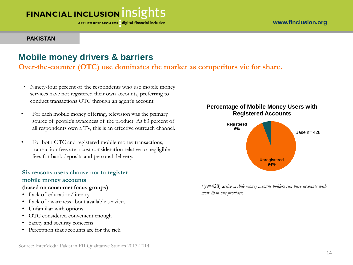APPLIED RESEARCH FOR digital financial inclusion

#### **PAKISTAN**

### **Mobile money drivers & barriers**

**Over-the-counter (OTC) use dominates the market as competitors vie for share.**

- Ninety-four percent of the respondents who use mobile money services have not registered their own accounts, preferring to conduct transactions OTC through an agent's account.
- For each mobile money offering, television was the primary source of people's awareness of the product. As 83 percent of all respondents own a TV, this is an effective outreach channel.
- For both OTC and registered mobile money transactions, transaction fees are a cost consideration relative to negligible fees for bank deposits and personal delivery.

### **Six reasons users choose not to register mobile money accounts**

#### **(based on consumer focus groups)**

- Lack of education/literacy
- Lack of awareness about available services
- Unfamiliar with options
- OTC considered convenient enough
- Safety and security concerns
- Perception that accounts are for the rich

### **Percentage of Mobile Money Users with Registered Accounts**



*\**(n=428) a*ctive mobile money account holders can have accounts with more than one provider.*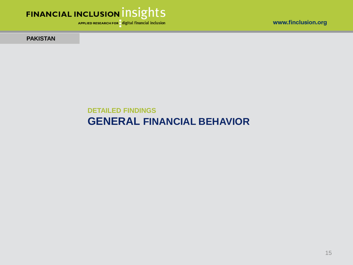

APPLIED RESEARCH FOR digital financial inclusion

www.finclusion.org

**PAKISTAN** 

### **DETAILED FINDINGS GENERAL FINANCIAL BEHAVIOR**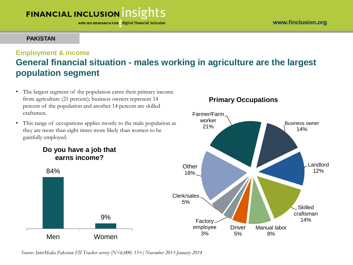APPLIED RESEARCH FOR digital financial inclusion

### **PAKISTAN**

### **Employment & income General financial situation - males working in agriculture are the largest population segment**

- The largest segment of the population earns their primary income from agriculture (21 percent); business owners represent 14 percent of the population and another 14 percent are skilled craftsmen.
- This range of occupations applies mostly to the male population as they are more than eight times more likely than women to be gainfully employed.



Men Women

84%

### **Primary Occupations**



*Source: InterMedia Pakistan FII Tracker survey (N=6,000, 15+) November 2013-January 2014* 

9%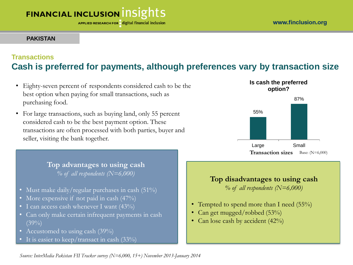APPLIED RESEARCH FOR digital financial inclusion

### **PAKISTAN**

### **Transactions Cash is preferred for payments, although preferences vary by transaction size**

- Eighty-seven percent of respondents considered cash to be the best option when paying for small transactions, such as purchasing food.
- For large transactions, such as buying land, only 55 percent considered cash to be the best payment option. These transactions are often processed with both parties, buyer and seller, visiting the bank together.

**Top advantages to using cash**  *% of all respondents (N=6,000)*

- Must make daily/regular purchases in cash (51%)
- More expensive if not paid in cash (47%)
- I can access cash whenever I want (43%)
- Can only make certain infrequent payments in cash  $(39\%)$
- Accustomed to using cash (39%)
- It is easier to keep/transact in cash (33%)



### **Top disadvantages to using cash**

*% of all respondents (N=6,000)*

- Tempted to spend more than I need (55%)
- Can get mugged/robbed (53%)
- Can lose cash by accident (42%)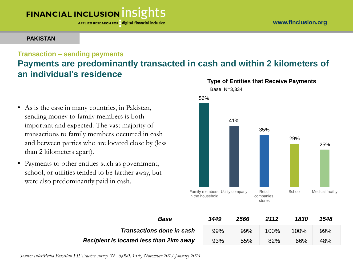APPLIED RESEARCH FOR digital financial inclusion

### **PAKISTAN**

### **Transaction – sending payments**

### **Payments are predominantly transacted in cash and within 2 kilometers of an individual's residence**

- As is the case in many countries, in Pakistan, sending money to family members is both important and expected. The vast majority of transactions to family members occurred in cash and between parties who are located close by (less than 2 kilometers apart).
- Payments to other entities such as government, school, or utilities tended to be farther away, but were also predominantly paid in cash.



| <b>Base</b>                             | 3449 | 2566 | 2112    | 1830    | 1548 |
|-----------------------------------------|------|------|---------|---------|------|
| <b>Transactions done in cash</b>        | 99%  | 99%  | $100\%$ | $100\%$ | 99%  |
| Recipient is located less than 2km away | 93%  | 55%  | 82%     | 66%     | 48%  |

*Source: InterMedia Pakistan FII Tracker survey (N=6,000, 15+) November 2013-January 2014*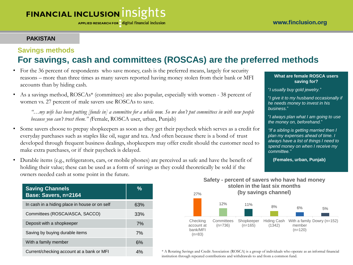### **PAKISTAN**

### **Savings methods For savings, cash and committees (ROSCAs) are the preferred methods**

- For the 36 percent of respondents who save money, cash is the preferred means, largely for security reasons – more than three times as many savers reported having money stolen from their bank or MFI accounts than by hiding cash.
- As a savings method, ROSCAs\* (committees) are also popular, especially with women 38 percent of women vs. 27 percent of male savers use ROSCAs to save.

*"…my wife has been putting [funds in] a committee for a while now. So we don't put committees in with new people because you can't trust them." (*Female, ROSCA user, urban, Punjab)

- Some savers choose to prepay shopkeepers as soon as they get their paycheck which serves as a credit for everyday purchases such as staples like oil, sugar and tea. And often because there is a bond of trust developed through frequent business dealings, shopkeepers may offer credit should the customer need to make extra purchases, or if their paycheck is delayed.
- Durable items (e.g., refrigerators, cars, or mobile phones) are perceived as safe and have the benefit of holding their value; these can be used as a form of savings as they could theoretically be sold if the owners needed cash at some point in the future.

| <b>Saving Channels</b><br>Base: Savers, n=2164 | %   |
|------------------------------------------------|-----|
| In cash in a hiding place in house or on self  | 63% |
| Committees (ROSCA/ASCA, SACCO)                 | 33% |
| Deposit with a shopkeeper                      | 7%  |
| Saving by buying durable items                 | 7%  |
| With a family member                           | 6%  |
| Current/checking account at a bank or MFI      | 4%  |

#### **What are female ROSCA users saving for?**

"*I usually buy gold jewelry.*"

"*I give it to my husband occasionally if he needs money to invest in his business.*"

"*I always plan what I am going to use the money on, beforehand.*"

*"If a sibling is getting married then I plan my expenses ahead of time. I always have a list of things I need to spend money on when I receive my committee."*

**(Females, urban, Punjab)**



**Safety - percent of savers who have had money stolen in the last six months**

\* A Rotating Savings and Credit Association (ROSCA) is a group of individuals who operate as an informal financial institution through repeated contributions and withdrawals to and from a common fund.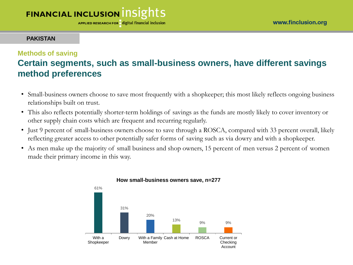APPLIED RESEARCH FOR digital financial inclusion

#### **PAKISTAN**

### **Methods of saving**

### **Certain segments, such as small-business owners, have different savings method preferences**

- Small-business owners choose to save most frequently with a shopkeeper; this most likely reflects ongoing business relationships built on trust.
- This also reflects potentially shorter-term holdings of savings as the funds are mostly likely to cover inventory or other supply chain costs which are frequent and recurring regularly.
- Just 9 percent of small-business owners choose to save through a ROSCA, compared with 33 percent overall, likely reflecting greater access to other potentially safer forms of saving such as via dowry and with a shopkeeper.
- As men make up the majority of small business and shop owners, 15 percent of men versus 2 percent of women made their primary income in this way.



#### **How small-business owners save, n=277**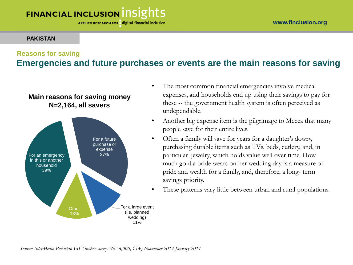### **PAKISTAN**

### **Reasons for saving**

### **Emergencies and future purchases or events are the main reasons for saving**



- The most common financial emergencies involve medical expenses, and households end up using their savings to pay for these -- the government health system is often perceived as undependable.
- Another big expense item is the pilgrimage to Mecca that many people save for their entire lives.
- Often a family will save for years for a daughter's dowry, purchasing durable items such as TVs, beds, cutlery, and, in particular, jewelry, which holds value well over time. How much gold a bride wears on her wedding day is a measure of pride and wealth for a family, and, therefore, a long- term savings priority.
- These patterns vary little between urban and rural populations.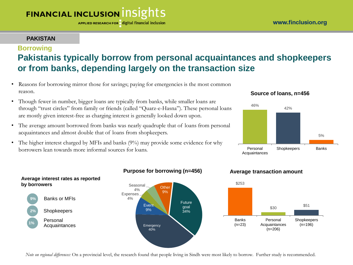APPLIED RESEARCH FOR digital financial inclusion

### **PAKISTAN**

Banks or MFIs

**Average interest rates as reported** 

Shopkeepers

Personal Acquaintances

**9%**

**by borrowers** 

**2%**

**1%**

### **Borrowing**

### **Pakistanis typically borrow from personal acquaintances and shopkeepers or from banks, depending largely on the transaction size**

- Reasons for borrowing mirror those for savings; paying for emergencies is the most common reason.
- Though fewer in number, bigger loans are typically from banks, while smaller loans are through "trust circles" from family or friends (called "Quarz-e-Hasna"). These personal loans are mostly given interest-free as charging interest is generally looked down upon.
- The average amount borrowed from banks was nearly quadruple that of loans from personal acquaintances and almost double that of loans from shopkeepers.
- The higher interest charged by MFIs and banks (9%) may provide some evidence for why borrowers lean towards more informal sources for loans.





### **Purpose for borrowing (n=456) Average transaction amount**





*Note on regional differences:* On a provincial level, the research found that people living in Sindh were most likely to borrow. Further study is recommended.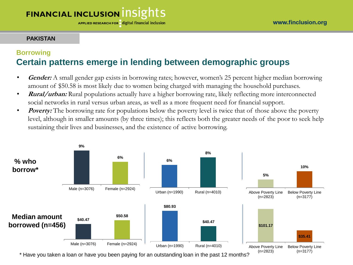APPLIED RESEARCH FOR digital financial inclusion

### **PAKISTAN**

### **Borrowing Certain patterns emerge in lending between demographic groups**

- **Gender:** A small gender gap exists in borrowing rates; however, women's 25 percent higher median borrowing amount of \$50.58 is most likely due to women being charged with managing the household purchases.
- **Rural/urban:** Rural populations actually have a higher borrowing rate, likely reflecting more interconnected social networks in rural versus urban areas, as well as a more frequent need for financial support.
- **Poverty:** The borrowing rate for populations below the poverty level is twice that of those above the poverty level, although in smaller amounts (by three times); this reflects both the greater needs of the poor to seek help sustaining their lives and businesses, and the existence of active borrowing.



\* Have you taken a loan or have you been paying for an outstanding loan in the past 12 months?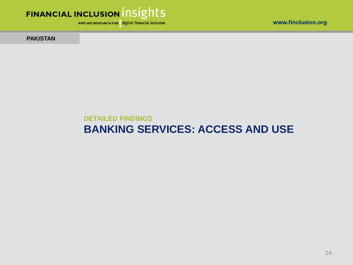



APPLIED RESEARCH FOR digital financial inclusion

**PAKISTAN** 

### **DETAILED FINDINGS BANKING SERVICES: ACCESS AND USE**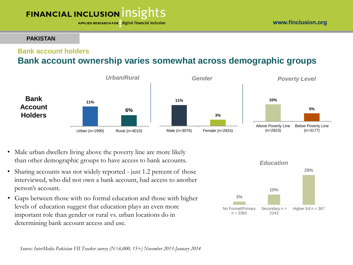#### APPLIED RESEARCH FOR digital financial inclusion

#### **PAKISTAN**

### **Bank account holders**

### **Bank account ownership varies somewhat across demographic groups**



- Male urban dwellers living above the poverty line are more likely than other demographic groups to have access to bank accounts.
- Sharing accounts was not widely reported just 1.2 percent of those interviewed, who did not own a bank account, had access to another person's account.
- Gaps between those with no formal education and those with higher levels of education suggest that education plays an even more important role than gender or rural vs. urban locations do in determining bank account access and use.

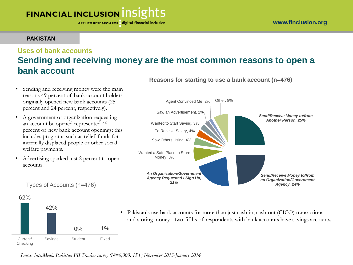APPLIED RESEARCH FOR digital financial inclusion

### **PAKISTAN**

### **Uses of bank accounts Sending and receiving money are the most common reasons to open a bank account Reasons for starting to use a bank account (n=476)**

- Sending and receiving money were the main reasons 49 percent of bank account holders originally opened new bank accounts (25 percent and 24 percent, respectively).
- A government or organization requesting an account be opened represented 45 percent of new bank account openings; this includes programs such as relief funds for internally displaced people or other social welfare payments.
- Advertising sparked just 2 percent to open accounts.



Types of Accounts (n=476)

62% 42% 0% 1% Current/ Checking Savings Student Fixed

• Pakistanis use bank accounts for more than just cash-in, cash-out (CICO) transactions and storing money - two-fifths of respondents with bank accounts have savings accounts.

*Source: InterMedia Pakistan FII Tracker survey (N=6,000, 15+) November 2013-January 2014*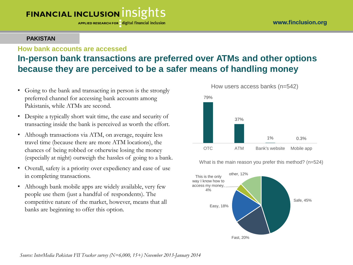APPLIED RESEARCH FOR digital financial inclusion

### **PAKISTAN**

### **How bank accounts are accessed In-person bank transactions are preferred over ATMs and other options because they are perceived to be a safer means of handling money**

- Going to the bank and transacting in person is the strongly preferred channel for accessing bank accounts among Pakistanis, while ATMs are second.
- Despite a typically short wait time, the ease and security of transacting inside the bank is perceived as worth the effort.
- Although transactions via ATM, on average, require less travel time (because there are more ATM locations), the chances of being robbed or otherwise losing the money (especially at night) outweigh the hassles of going to a bank.
- Overall, safety is a priority over expediency and ease of use in completing transactions.
- Although bank mobile apps are widely available, very few people use them (just a handful of respondents). The competitive nature of the market, however, means that all banks are beginning to offer this option.



What is the main reason you prefer this method? (n=524)



*Source: InterMedia Pakistan FII Tracker survey (N=6,000, 15+) November 2013-January 2014*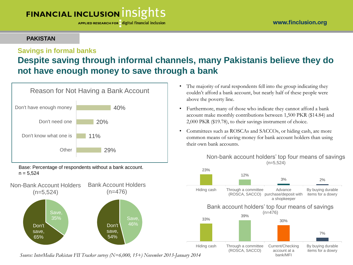APPLIED RESEARCH FOR digital financial inclusion

### **PAKISTAN**

### **Savings in formal banks**

### **Despite saving through informal channels, many Pakistanis believe they do not have enough money to save through a bank**



Base: Percentage of respondents without a bank account.  $n = 5,524$ 



*Source: InterMedia Pakistan FII Tracker survey (N=6,000, 15+) November 2013-January 2014*

- The majority of rural respondents fell into the group indicating they couldn't afford a bank account, but nearly half of these people were above the poverty line.
- Furthermore, many of those who indicate they cannot afford a bank account make monthly contributions between 1,500 PKR (\$14.84) and 2,000 PKR (\$19.78), to their savings instrument of choice.
- Committees such as ROSCAs and SACCOs, or hiding cash, are more common means of saving money for bank account holders than using their own bank accounts.

#### Non-bank account holders' top four means of savings (n=5,524)

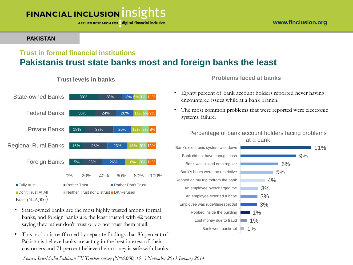APPLIED RESEARCH FOR digital financial inclusion

### **PAKISTAN**

### **Trust in formal financial institutions Pakistanis trust state banks most and foreign banks the least**



**Trust levels in banks**

- State-owned banks are the most highly trusted among formal banks, and foreign banks are the least trusted with 42 percent saying they rather don't trust or do not trust them at all.
- This notion is reaffirmed by separate findings that 83 percent of Pakistanis believe banks are acting in the best interest of their customers and 71 percent believe their money is safe with banks.

*Source: InterMedia Pakistan FII Tracker survey (N=6,000, 15+) November 2013-January 2014*

**Problems faced at banks**

- Eighty percent of bank account holders reported never having encountered issues while at a bank branch.
- The most common problems that were reported were electronic systems failure.

#### Percentage of bank account holders facing problems at a bank

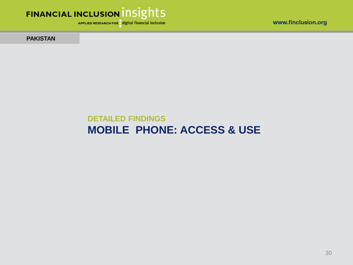



APPLIED RESEARCH FOR digital financial inclusion

**PAKISTAN** 

### **DETAILED FINDINGS MOBILE PHONE: ACCESS & USE**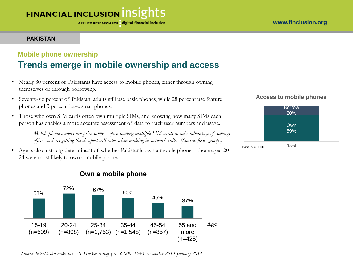APPLIED RESEARCH FOR digital financial inclusion

### **PAKISTAN**

### **Mobile phone ownership Trends emerge in mobile ownership and access**

- Nearly 80 percent of Pakistanis have access to mobile phones, either through owning themselves or through borrowing.
- Seventy-six percent of Pakistani adults still use basic phones, while 28 percent use feature phones and 3 percent have smartphones.
- Those who own SIM cards often own multiple SIMs, and knowing how many SIMs each person has enables a more accurate assessment of data to track user numbers and usage.

*Mobile phone owners are price savvy – often owning multiple SIM cards to take advantage of savings offers, such as getting the cheapest call rates when making in-network calls. (Source: focus groups)*

• Age is also a strong determinant of whether Pakistanis own a mobile phone – those aged 20- 24 were most likely to own a mobile phone.







*Source: InterMedia Pakistan FII Tracker survey (N=6,000, 15+) November 2013-January 2014*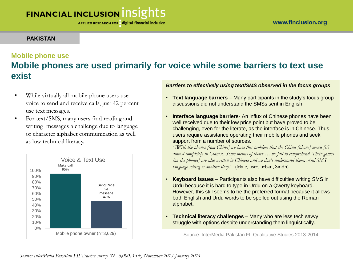### **PAKISTAN**

### **Mobile phone use Mobile phones are used primarily for voice while some barriers to text use exist**

- While virtually all mobile phone users use voice to send and receive calls, just 42 percent use text messages.
- For text/SMS, many users find reading and writing messages a challenge due to language or character alphabet communication as well as low technical literacy.



*Barriers to effectively using text/SMS observed in the focus groups*

- **Text language barriers**  Many participants in the study's focus group discussions did not understand the SMSs sent in English.
- **Interface language barriers** An influx of Chinese phones have been well received due to their low price point but have proved to be challenging, even for the literate, as the interface is in Chinese. Thus, users require assistance operating their mobile phones and seek support from a number of sources.

*"[With the phones from China] we have this problem that the China [phone] menu [is] almost completely in Chinese. Some menus of theirs … we fail to comprehend. Their games [on the phones] are also written in Chinese and we don't understand them. And SMS language setting is another story.*" (Male, user, urban, Sindh)

- **Keyboard issues**  Participants also have difficulties writing SMS in Urdu because it is hard to type in Urdu on a Qwerty keyboard. However, this still seems to be the preferred format because it allows both English and Urdu words to be spelled out using the Roman alphabet.
- **Technical literacy challenges**  Many who are less tech savvy struggle with options despite understanding them linguistically.

Source: InterMedia Pakistan FII Qualitative Studies 2013-2014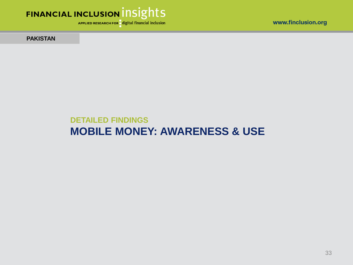



APPLIED RESEARCH FOR digital financial inclusion

**PAKISTAN** 

### **DETAILED FINDINGS MOBILE MONEY: AWARENESS & USE**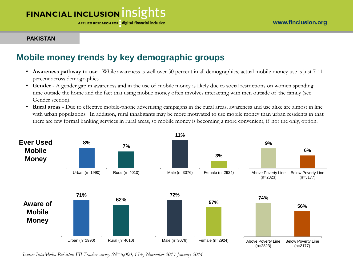APPLIED RESEARCH FOR digital financial inclusion

#### **PAKISTAN**

### **Mobile money trends by key demographic groups**

- **Awareness pathway to use**  While awareness is well over 50 percent in all demographics, actual mobile money use is just 7-11 percent across demographics.
- **Gender**  A gender gap in awareness and in the use of mobile money is likely due to social restrictions on women spending time outside the home and the fact that using mobile money often involves interacting with men outside of the family (see Gender section).
- **Rural areas**  Due to effective mobile-phone advertising campaigns in the rural areas, awareness and use alike are almost in line with urban populations. In addition, rural inhabitants may be more motivated to use mobile money than urban residents in that there are few formal banking services in rural areas, so mobile money is becoming a more convenient, if not the only, option.



*Source: InterMedia Pakistan FII Tracker survey (N=6,000, 15+) November 2013-January 2014*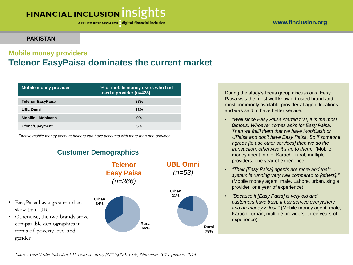APPLIED RESEARCH FOR digital financial inclusion

### **PAKISTAN**

### **Mobile money providers Telenor EasyPaisa dominates the current market**

| <b>Mobile money provider</b> | % of mobile money users who had<br>used a provider (n=428) |  |  |
|------------------------------|------------------------------------------------------------|--|--|
| <b>Telenor EasyPaisa</b>     | 87%                                                        |  |  |
| <b>UBL Omni</b>              | 13%                                                        |  |  |
| <b>Mobilink Mobicash</b>     | 9%                                                         |  |  |
| Ufone/Upayment               | 5%                                                         |  |  |

*\*Active mobile money account holders can have accounts with more than one provider.* 

### **Customer Demographics**



During the study's focus group discussions, Easy Paisa was the most well known, trusted brand and most commonly available provider at agent locations, and was said to have better service:

- *"Well since Easy Paisa started first, it is the most famous. Whoever comes asks for Easy Paisa. Then we [tell] them that we have MobiCash or UPaisa and don't have Easy Paisa. So if someone agrees [to use other services] then we do the transaction, otherwise it's up to them."* (Mobile money agent, male, Karachi, rural, multiple providers, one year of experience)
- *"Their [Easy Paisa] agents are more and their… system is running very well compared to [others]."*  (Mobile money agent, male, Lahore, urban, single provider, one year of experience)
- *"Because it [Easy Paisa] is very old and customers have trust. It has service everywhere and no money is lost."* (Mobile money agent, male, Karachi, urban, multiple providers, three years of experience)

*Source: InterMedia Pakistan FII Tracker survey (N=6,000, 15+) November 2013-January 2014*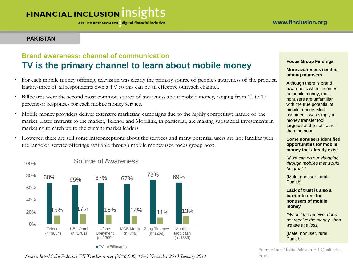APPLIED RESEARCH FOR digital financial inclusion

### **PAKISTAN**

### **Brand awareness: channel of communication TV is the primary channel to learn about mobile money**

- For each mobile money offering, television was clearly the primary source of people's awareness of the product. Eighty-three of all respondents own a TV so this can be an effective outreach channel.
- Billboards were the second most common source of awareness about mobile money, ranging from 11 to 17 percent of responses for each mobile money service.
- Mobile money providers deliver extensive marketing campaigns due to the highly competitive nature of the market. Later entrants to the market, Telenor and Mobilink, in particular, are making substantial investments in marketing to catch up to the current market leaders.
- However, there are still some misconceptions about the services and many potential users are not familiar with the range of service offerings available through mobile money (see focus group box).



*Source: InterMedia Pakistan FII Tracker survey (N=6,000, 15+) November 2013-January 2014* 

#### **Focus Group Findings**

#### **More awareness needed among nonusers**

Although there is brand awareness when it comes to mobile money, most nonusers are unfamiliar with the true potential of mobile money. Most assumed it was simply a money transfer tool targeted at the rich rather than the poor.

#### **Some nonusers identified opportunities for mobile money that already exist**

*"If we can do our shopping through mobiles that would be great."* 

(Male, nonuser, rural, Punjab)

#### **Lack of trust is also a barrier to use for nonusers of mobile money**

"*What if the receiver does not receive the money, then we are at a loss.*"

(Male, nonuser, rural, Punjab)

Studies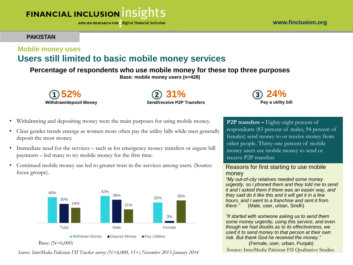#### www.finclusion.org

# **FINANCIAL INCLUSION INSIGHTS**

APPLIED RESEARCH FOR digital financial inclusion

#### **PAKISTAN**

### **Mobile money uses Users still limited to basic mobile money services**

### **Percentage of respondents who use mobile money for these top three purposes**

**Base: mobile money users (n=428)**



**31% Send/receive P2P Transfers 1 2 24%**



- Withdrawing and depositing money were the main purposes for using mobile money.
- Clear gender trends emerge as women more often pay the utility bills while men generally deposit the most money.
- Immediate need for the services such as for emergency money transfers or urgent bill payments – led many to try mobile money for the first time.
- Continued mobile money use led to greater trust in the services among users. (Source: focus groups).



*Source: InterMedia Pakistan FII Tracker survey (N=6,000, 15+) November 2013-January 2014*

**P2P transfers –** Eighty-eight percent of respondents (83 percent of males, 94 percent of females) send money to or receive money from other people. Thirty-one percent of mobile money users use mobile money to send or receive P2P transfers.

#### Reasons for first starting to use mobile money

*"My out-of-city relatives needed some money urgently, so I phoned them and they told me to send it and I asked them if there was an easier way, and they said do it like this and it will get it in a few hours, and I went to a franchise and sent it from there."* (Male, user, urban, Sindh)

*"It started with someone asking us to send them some money urgently, using this service, and even though we had doubts as to its effectiveness, we used it to send money to that person at their own risk. But thank God he received the money."*

(Female, user, urban, Punjab) Source: InterMedia Pakistan FII Qualitative Studies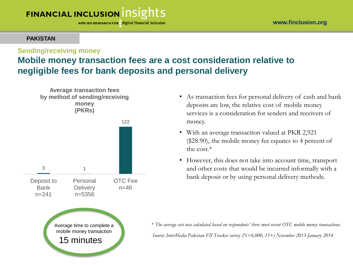APPLIED RESEARCH FOR digital financial inclusion

### **PAKISTAN**

### **Sending/receiving money**

### **Mobile money transaction fees are a cost consideration relative to negligible fees for bank deposits and personal delivery**



- As transaction fees for personal delivery of cash and bank deposits are low, the relative cost of mobile money services is a consideration for senders and receivers of money.
- With an average transaction valued at PKR 2,921 (\$28.90), the mobile money fee equates to 4 percent of the cost.\*
- However, this does not take into account time, transport and other costs that would be incurred informally with a bank deposit or by using personal delivery methods.

Average time to complete a **\*** *The average cost was calculated based on respondents' three most recent OTC mobile money transactions.* 15 minutes *Source: InterMedia Pakistan FII Tracker survey (N=6,000, 15+) November 2013-January 2014*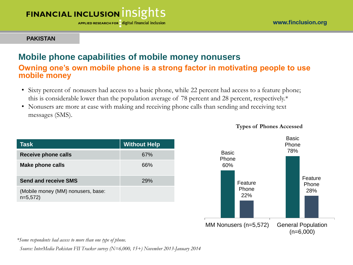APPLIED RESEARCH FOR digital financial inclusion

**PAKISTAN**

### **Mobile phone capabilities of mobile money nonusers**

**Owning one's own mobile phone is a strong factor in motivating people to use mobile money** 

- Sixty percent of nonusers had access to a basic phone, while 22 percent had access to a feature phone; this is considerable lower than the population average of 78 percent and 28 percent, respectively.\*
- Nonusers are more at ease with making and receiving phone calls than sending and receiving text messages (SMS).

| Task                                            | <b>Without Help</b> |
|-------------------------------------------------|---------------------|
| <b>Receive phone calls</b>                      | 67%                 |
| <b>Make phone calls</b>                         | 66%                 |
| <b>Send and receive SMS</b>                     | 29%                 |
| (Mobile money (MM) nonusers, base:<br>$n=5,572$ |                     |



*\*Some respondents had access to more than one type of phone.* 

*Source: InterMedia Pakistan FII Tracker survey (N=6,000, 15+) November 2013-January 2014*

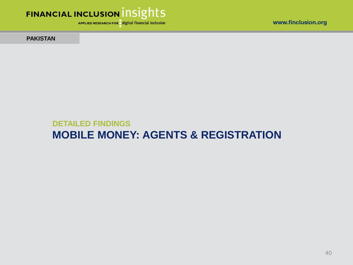

APPLIED RESEARCH FOR digital financial inclusion

www.finclusion.org

**PAKISTAN** 

### **DETAILED FINDINGS MOBILE MONEY: AGENTS & REGISTRATION**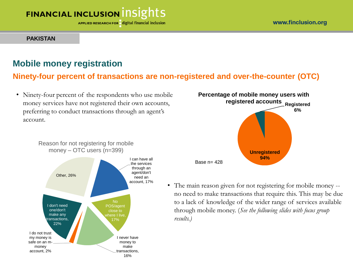APPLIED RESEARCH FOR digital financial inclusion

#### **PAKISTAN**

### **Mobile money registration**

### **Ninety-four percent of transactions are non-registered and over-the-counter (OTC)**

• Ninety-four percent of the respondents who use mobile money services have not registered their own accounts, preferring to conduct transactions through an agent's account.





• The main reason given for not registering for mobile money - no need to make transactions that require this. This may be due to a lack of knowledge of the wider range of services available through mobile money. (*See the following slides with focus group results.)*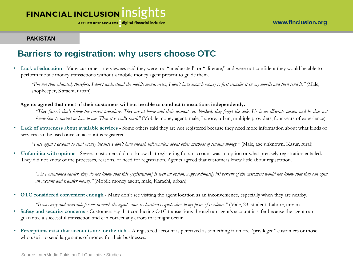APPLIED RESEARCH FOR digital financial inclusion

#### www.finclusion.org

#### **PAKISTAN**

### **Barriers to registration: why users choose OTC**

• **Lack of education** - Many customer interviewees said they were too "uneducated" or "illiterate," and were not confident they would be able to perform mobile money transactions without a mobile money agent present to guide them.

*"I'm not that educated, therefore, I don't understand the mobile menu. Also, I don't have enough money to first transfer it in my mobile and then send it."* (Male, shopkeeper, Karachi, urban)

**Agents agreed that most of their customers will not be able to conduct transactions independently.**

"They [users] don't know the correct procedure. They are at home and their account gets blocked, they forget the code. He is an illiterate person and he does not know how to contact or how to use. Then it is really hard." (Mobile money agent, male, Lahore, urban, multiple providers, four years of experience)

• **Lack of awareness about available services** - Some others said they are not registered because they need more information about what kinds of services can be used once an account is registered.

*"I use agent's account to send money because I don't have enough information about other methods of sending money."* (Male, age unknown, Kasur, rural)

• **Unfamiliar with options** - Several customers did not know that registering for an account was an option or what precisely registration entailed. They did not know of the processes, reasons, or need for registration. Agents agreed that customers knew little about registration.

"As I mentioned earlier, they do not know that this [registration] is even an option. Approximately 90 percent of the customers would not know that they can open *an account and transfer money."* (Mobile money agent, male, Karachi, urban)

• **OTC considered convenient enough** - Many don't see visiting the agent location as an inconvenience, especially when they are nearby.

'It was easy and accessible for me to reach the agent, since its location is quite close to my place of residence." (Male, 23, student, Lahore, urban) • **Safety and security concerns -** Customers say that conducting OTC transactions through an agent's account is safer because the agent can guarantee a successful transaction and can correct any errors that might occur.

• **Perceptions exist that accounts are for the rich** – A registered account is perceived as something for more "privileged" customers or those who use it to send large sums of money for their businesses.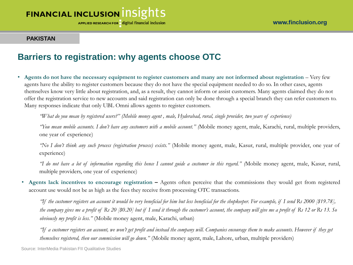APPLIED RESEARCH FOR digital financial inclusion

#### **PAKISTAN**

### **Barriers to registration: why agents choose OTC**

• Agents do not have the necessary equipment to register customers and many are not informed about registration – Very few agents have the ability to register customers because they do not have the special equipment needed to do so. In other cases, agents themselves know very little about registration, and, as a result, they cannot inform or assist customers. Many agents claimed they do not offer the registration service to new accounts and said registration can only be done through a special branch they can refer customers to. Many responses indicate that only UBL Omni allows agents to register customers.

"What do you mean by registered users?" (Mobile money agent, male, Hyderabad, rural, single provider, two years of experience)

"You mean mobile accounts. I don't have any customers with a mobile account." (Mobile money agent, male, Karachi, rural, multiple providers, one year of experience)

*"No I don't think any such process (registration process) exists."* (Mobile money agent, male, Kasur, rural, multiple provider, one year of experience)

"I do not have a lot of information regarding this hence I cannot guide a customer in this regard." (Mobile money agent, male, Kasur, rural, multiple providers, one year of experience)

• **Agents lack incentives to encourage registration –** Agents often perceive that the commissions they would get from registered account use would not be as high as the fees they receive from processing OTC transactions.

*"If the customer registers an account it would be very beneficial for him but less beneficial for the shopkeeper. For example, if I send Rs 2000 [\$19.78], the company gives me a profit of Rs 20 [\$0.20] but if I send it through the customer's account, the company will give me a profit of Rs 12 or Rs 13. So obviously my profit is less."* (Mobile money agent, male, Karachi, urban)

*"If a customer registers an account, we won't get profit and instead the company will. Companies encourage them to make accounts. However if they get themselves registered, then our commission will go down."* (Mobile money agent, male, Lahore, urban, multiple providers)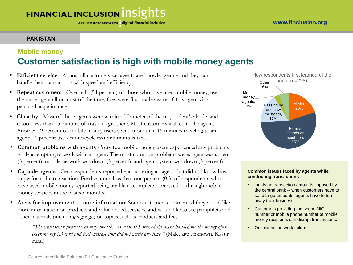### **PAKISTAN**

### **Mobile money Customer satisfaction is high with mobile money agents**

- **Efficient service**  Almost all customers say agents are knowledgeable and they can handle their transactions with speed and efficiency.
- **Repeat customers** Over half (54 percent) of those who have used mobile money, use the same agent all or most of the time; they were first made aware of this agent via a personal acquaintance.
- **Close by**  Most of these agents were within a kilometer of the respondent's abode, and it took less than 15 minutes of travel to get there. Most customers walked to the agent. Another 19 percent of mobile money users spend more than 15 minutes traveling to an agent; 21 percent use a motorcycle taxi or a minibus taxi.
- **Common problems with agents**  Very few mobile money users experienced any problems while attempting to work with an agent. The most common problems were: agent was absent (3 percent), mobile network was down (3 percent), and agent system was down (3 percent).
- **Capable agents**  Zero respondents reported encountering an agent that did not know how to perform the transaction. Furthermore, less than one percent (0.3) of respondents who have used mobile money reported being unable to complete a transaction through mobile money services in the past six months.
- **Areas for improvement -- more information**: Some customers commented they would like more information on products and value-added services, and would like to see pamphlets and other materials (including signage) on topics such as products and fees.

*"The transaction process was very smooth. As soon as I arrived the agent handed me the money after checking my ID card and text message and did not waste any time."* (Male, age unknown, Kasur, rural)



#### **Common issues faced by agents while conducting transactions**

- Limits on transaction amounts imposed by the central bank -- when customers have to send large amounts, agents have to turn away their business.
- Customers providing the wrong NIC number or mobile phone number of mobile money recipients can disrupt transactions.
- Occasional network failure.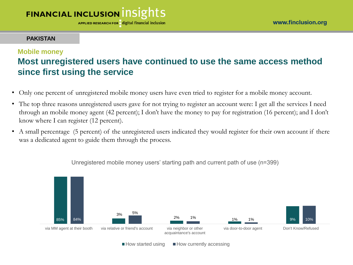APPLIED RESEARCH FOR digital financial inclusion

#### **PAKISTAN**

### **Mobile money**

### **Most unregistered users have continued to use the same access method since first using the service**

- Only one percent of unregistered mobile money users have even tried to register for a mobile money account.
- The top three reasons unregistered users gave for not trying to register an account were: I get all the services I need through an mobile money agent (42 percent); I don't have the money to pay for registration (16 percent); and I don't know where I can register (12 percent).
- A small percentage (5 percent) of the unregistered users indicated they would register for their own account if there was a dedicated agent to guide them through the process.



Unregistered mobile money users' starting path and current path of use (n=399)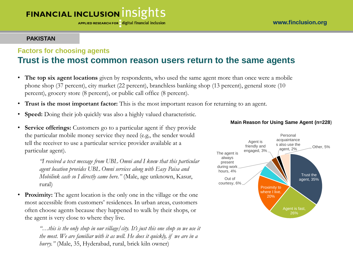APPLIED RESEARCH FOR digital financial inclusion

### **PAKISTAN**

### **Factors for choosing agents Trust is the most common reason users return to the same agents**

- **The top six agent locations** given by respondents, who used the same agent more than once were a mobile phone shop (37 percent), city market (22 percent), branchless banking shop (13 percent), general store (10 percent), grocery store (8 percent), or public call office (8 percent).
- **Trust is the most important factor:** This is the most important reason for returning to an agent.
- **Speed:** Doing their job quickly was also a highly valued characteristic.
- **Service offerings:** Customers go to a particular agent if they provide the particular mobile money service they need (e.g., the sender would tell the receiver to use a particular service provider available at a particular agent).

*"I received a text message from UBL Omni and I knew that this particular agent location provides UBL Omni services along with Easy Paisa and Mobilink cash so I directly came here."* (Male, age unknown, Kasur, rural)

• **Proximity:** The agent location is the only one in the village or the one most accessible from customers' residences. In urban areas, customers often choose agents because they happened to walk by their shops, or the agent is very close to where they live.

> *"…this is the only shop in our village/city. It's just this one shop so we use it the most. We are familiar with it as well. He does it quickly, if we are in a hurry."* (Male, 35, Hyderabad, rural, brick kiln owner)



#### **Main Reason for Using Same Agent (n=228)**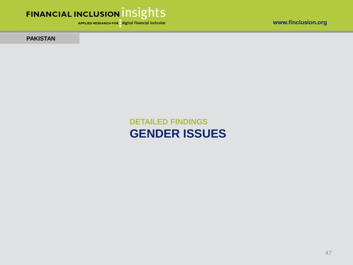

APPLIED RESEARCH FOR digital financial inclusion

**PAKISTAN** 

**DETAILED FINDINGS GENDER ISSUES**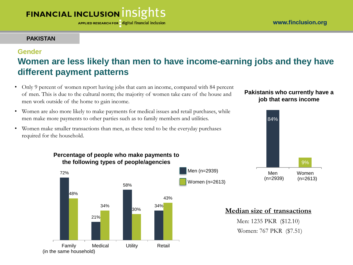APPLIED RESEARCH FOR digital financial inclusion

### **PAKISTAN**

### **Gender**

### **Women are less likely than men to have income-earning jobs and they have different payment patterns**

- Only 9 percent of women report having jobs that earn an income, compared with 84 percent of men. This is due to the cultural norm; the majority of women take care of the house and men work outside of the home to gain income.
- Women are also more likely to make payments for medical issues and retail purchases, while men make more payments to other parties such as to family members and utilities.
- Women make smaller transactions than men, as these tend to be the everyday purchases required for the household.

### **Pakistanis who currently have a job that earns income**





### **Median size of transactions**

Men: 1235 PKR (\$12.10) Women: 767 PKR (\$7.51)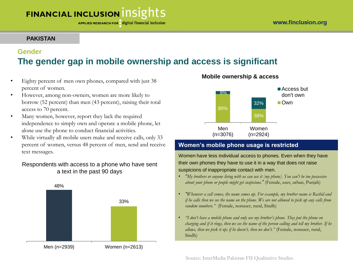### **PAKISTAN**

### **Gender The gender gap in mobile ownership and access is significant**

- Eighty percent of men own phones, compared with just 38 percent of women.
- However, among non-owners, women are more likely to borrow (52 percent) than men (43 percent), raising their total access to 70 percent.
- Many women, however, report they lack the required independence to simply own and operate a mobile phone, let alone use the phone to conduct financial activities.
- While virtually all mobile users make and receive calls, only 33 percent of women, versus 48 percent of men, send and receive text messages.

### Respondents with access to a phone who have sent a text in the past 90 days



#### **Mobile ownership & access**



### **Women's mobile phone usage is restricted**

Women have less individual access to phones. Even when they have their own phones they have to use it in a way that does not raise suspicions of inappropriate contact with men.

- *"My brothers or anyone living with us can use it [my phone]. You can't be too possessive about your phone or people might get suspicious."* (Female, user, urban, Punjab)
- *"Whenever a call comes, the name comes up. For example, my brother name is Rashid and if he calls then we see the name on the phone. We are not allowed to pick up any calls from random numbers."* (Female, nonuser, rural, Sindh)
- *"I don't have a mobile phone and only use my brother's phone. They put the phone on charging and if it rings, then we see the name of the person calling and tell my brother. If he allows, then we pick it up; if he doesn't, then we don't."* (Female, nonuser, rural, Sindh)

Source: InterMedia Pakistan FII Qualitative Studies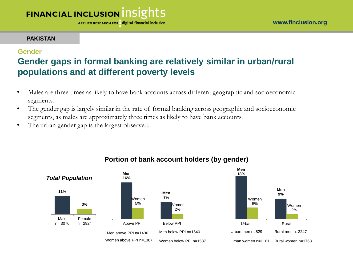APPLIED RESEARCH FOR digital financial inclusion

#### **PAKISTAN**

### **Gender**

### **Gender gaps in formal banking are relatively similar in urban/rural populations and at different poverty levels**

- Males are three times as likely to have bank accounts across different geographic and socioeconomic segments.
- The gender gap is largely similar in the rate of formal banking across geographic and socioeconomic segments, as males are approximately three times as likely to have bank accounts.
- The urban gender gap is the largest observed.



### **Portion of bank account holders (by gender)**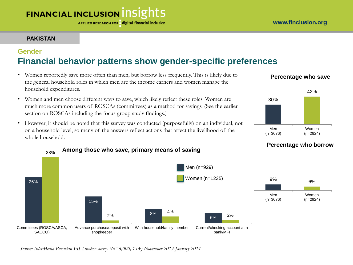### **PAKISTAN**

### **Gender Financial behavior patterns show gender-specific preferences**

- Women reportedly save more often than men, but borrow less frequently. This is likely due to the general household roles in which men are the income earners and women manage the household expenditures.
- Women and men choose different ways to save, which likely reflect these roles. Women are much more common users of ROSCAs (committees) as a method for savings. (See the earlier section on ROSCAs including the focus group study findings.)
- However, it should be noted that this survey was conducted (purposefully) on an individual, not on a household level, so many of the answers reflect actions that affect the livelihood of the whole household.

### **Percentage who save**







*Source: InterMedia Pakistan FII Tracker survey (N=6,000, 15+) November 2013-January 2014*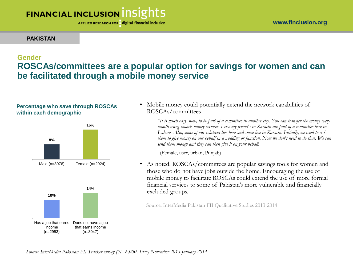APPLIED RESEARCH FOR digital financial inclusion

#### **PAKISTAN**

### **Gender ROSCAs/committees are a popular option for savings for women and can be facilitated through a mobile money service**

#### **Percentage who save through ROSCAs within each demographic**





• Mobile money could potentially extend the network capabilities of ROSCAs/committees

> *"It is much easy, now, to be part of a committee in another city. You can transfer the money every month using mobile money services. Like my friend's in Karachi are part of a committee here in Lahore. Also, some of our relatives live here and some live in Karachi. Initially, we used to ask them to give money on our behalf in a wedding or function. Now we don't need to do that. We can send them money and they can then give it on your behalf.*

(Female, user, urban, Punjab)

• As noted, ROSCAs/committees are popular savings tools for women and those who do not have jobs outside the home. Encouraging the use of mobile money to facilitate ROSCAs could extend the use of more formal financial services to some of Pakistan's more vulnerable and financially excluded groups.

Source: InterMedia Pakistan FII Qualitative Studies 2013-2014

*Source: InterMedia Pakistan FII Tracker survey (N=6,000, 15+) November 2013-January 2014*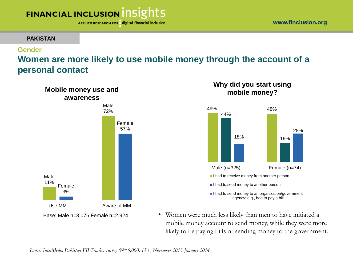APPLIED RESEARCH FOR digital financial inclusion

#### **PAKISTAN**

### **Gender**

### **Women are more likely to use mobile money through the account of a personal contact**



### **Why did you start using mobile money?**



• Women were much less likely than men to have initiated a mobile money account to send money, while they were more likely to be paying bills or sending money to the government.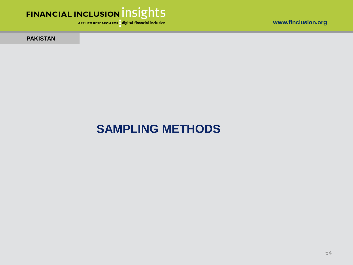



APPLIED RESEARCH FOR digital financial inclusion

**PAKISTAN** 

# **SAMPLING METHODS**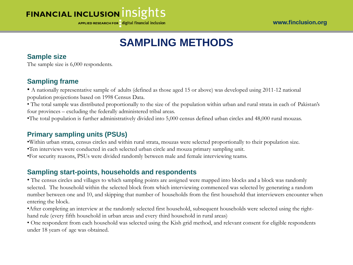APPLIED RESEARCH FOR digital financial inclusion

## **SAMPLING METHODS**

### **Sample size**

The sample size is 6,000 respondents.

### **Sampling frame**

• A nationally representative sample of adults (defined as those aged 15 or above) was developed using 2011-12 national population projections based on 1998 Census Data.

• The total sample was distributed proportionally to the size of the population within urban and rural strata in each of Pakistan's four provinces – excluding the federally administered tribal areas.

•The total population is further administratively divided into 5,000 census defined urban circles and 48,000 rural mouzas.

### **Primary sampling units (PSUs)**

•Within urban strata, census circles and within rural strata, mouzas were selected proportionally to their population size.

- •Ten interviews were conducted in each selected urban circle and mouza primary sampling unit.
- •For security reasons, PSUs were divided randomly between male and female interviewing teams.

### **Sampling start-points, households and respondents**

• The census circles and villages to which sampling points are assigned were mapped into blocks and a block was randomly selected. The household within the selected block from which interviewing commenced was selected by generating a random number between one and 10, and skipping that number of households from the first household that interviewers encounter when entering the block.

•After completing an interview at the randomly selected first household, subsequent households were selected using the righthand rule (every fifth household in urban areas and every third household in rural areas)

• One respondent from each household was selected using the Kish grid method, and relevant consent for eligible respondents under 18 years of age was obtained.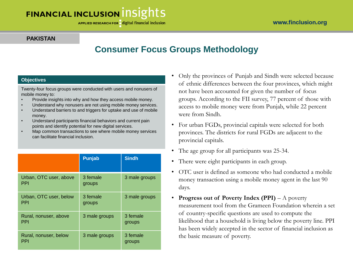APPLIED RESEARCH FOR digital financial inclusion

#### www.finclusion.org

#### **PAKISTAN**

### **Consumer Focus Groups Methodology**

#### **Objectives**

Twenty-four focus groups were conducted with users and nonusers of mobile money to:

- Provide insights into why and how they access mobile money.
- Understand why nonusers are not using mobile money services.
- Understand barriers to and triggers for uptake and use of mobile money.
- Understand participants financial behaviors and current pain points and identify potential for new digital services.
- Map common transactions to see where mobile money services can facilitate financial inclusion.

|                                      | Punjab             | <b>Sindh</b>       |
|--------------------------------------|--------------------|--------------------|
| Urban, OTC user, above<br><b>PPI</b> | 3 female<br>groups | 3 male groups      |
| Urban, OTC user, below<br><b>PPI</b> | 3 female<br>groups | 3 male groups      |
| Rural, nonuser, above<br><b>PPI</b>  | 3 male groups      | 3 female<br>groups |
| Rural, nonuser, below<br>PPI         | 3 male groups      | 3 female<br>groups |

- Only the provinces of Punjab and Sindh were selected because of ethnic differences between the four provinces, which might not have been accounted for given the number of focus groups. According to the FII survey, 77 percent of those with access to mobile money were from Punjab, while 22 percent were from Sindh.
- For urban FGDs, provincial capitals were selected for both provinces. The districts for rural FGDs are adjacent to the provincial capitals.
- The age group for all participants was 25-34.
- There were eight participants in each group.
- OTC user is defined as someone who had conducted a mobile money transaction using a mobile money agent in the last 90 days.
- **Progress out of Poverty Index (PPI)**  A poverty measurement tool from the Grameen Foundation wherein a set of country-specific questions are used to compute the likelihood that a household is living below the poverty line. PPI has been widely accepted in the sector of financial inclusion as the basic measure of poverty.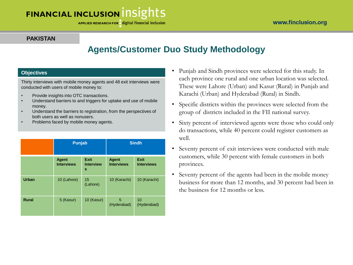#### **PAKISTAN**

### **Agents/Customer Duo Study Methodology**

#### **Objectives**

Thirty interviews with mobile money agents and 48 exit interviews were conducted with users of mobile money to:

- Provide insights into OTC transactions.
- Understand barriers to and triggers for uptake and use of mobile money.
- Understand the barriers to registration, from the perspectives of both users as well as nonusers.
- Problems faced by mobile money agents.

|              | <b>Punjab</b>                     |                                      | <b>Sindh</b>                      |                                  |  |
|--------------|-----------------------------------|--------------------------------------|-----------------------------------|----------------------------------|--|
|              | <b>Agent</b><br><b>Interviews</b> | <b>Exit</b><br><b>Interview</b><br>s | <b>Agent</b><br><b>Interviews</b> | <b>Exit</b><br><b>Interviews</b> |  |
| <b>Urban</b> | 10 (Lahore)                       | 15<br>(Lahore)                       | 10 (Karachi)                      | 10 (Karachi)                     |  |
| <b>Rural</b> | 5 (Kasur)                         | 10 (Kasur)                           | 5<br>(Hyderabad)                  | 10<br>(Hyderabad)                |  |

- Punjab and Sindh provinces were selected for this study. In each province one rural and one urban location was selected. These were Lahore (Urban) and Kasur (Rural) in Punjab and Karachi (Urban) and Hyderabad (Rural) in Sindh.
- Specific districts within the provinces were selected from the group of districts included in the FII national survey.
- Sixty percent of interviewed agents were those who could only do transactions, while 40 percent could register customers as well.
- Seventy percent of exit interviews were conducted with male customers, while 30 percent with female customers in both provinces.
- Seventy percent of the agents had been in the mobile money business for more than 12 months, and 30 percent had been in the business for 12 months or less.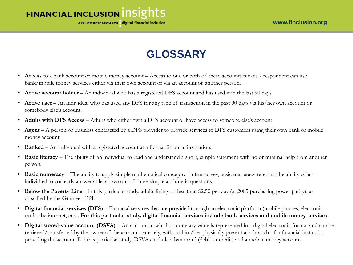

APPLIED RESEARCH FOR digital financial inclusion

# **GLOSSARY**

- **Access** to a bank account or mobile money account Access to one or both of these accounts means a respondent can use bank/mobile money services either via their own account or via an account of another person.
- **Active account holder** An individual who has a registered DFS account and has used it in the last 90 days.
- **Active user** An individual who has used any DFS for any type of transaction in the past 90 days via his/her own account or somebody else's account.
- **Adults with DFS Access** Adults who either own a DFS account or have access to someone else's account.
- **Agent** A person or business contracted by a DFS provider to provide services to DFS customers using their own bank or mobile money account.
- **Banked** An individual with a registered account at a formal financial institution.
- **Basic literacy** The ability of an individual to read and understand a short, simple statement with no or minimal help from another person.
- **Basic numeracy**  The ability to apply simple mathematical concepts. In the survey, basic numeracy refers to the ability of an individual to correctly answer at least two out of three simple arithmetic questions.
- **Below the Poverty Line**  In this particular study, adults living on less than \$2.50 per day (at 2005 purchasing power parity), as classified by the Grameen PPI.
- **Digital financial services (DFS)** Financial services that are provided through an electronic platform (mobile phones, electronic cards, the internet, etc.). **For this particular study, digital financial services include bank services and mobile money services**.
- **Digital stored-value account (DSVA)**  An account in which a monetary value is represented in a digital electronic format and can be retrieved/transferred by the owner of the account remotely, without him/her physically present at a branch of a financial institution providing the account. For this particular study, DSVAs include a bank card (debit or credit) and a mobile money account.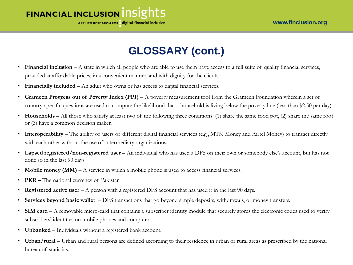### FINANCIAL INCLUSION INSIGHTS **APPLIED RESEARCH FOR digital financial inclusion**

# **GLOSSARY (cont.)**

- **Financial inclusion** A state in which all people who are able to use them have access to a full suite of quality financial services, provided at affordable prices, in a convenient manner, and with dignity for the clients.
- **Financially included**  An adult who owns or has access to digital financial services.
- **Grameen Progress out of Poverty Index (PPI)**  A poverty measurement tool from the Grameen Foundation wherein a set of country-specific questions are used to compute the likelihood that a household is living below the poverty line (less than \$2.50 per day).
- **Households** All those who satisfy at least two of the following three conditions: (1) share the same food pot, (2) share the same roof or (3) have a common decision maker.
- **Interoperability** The ability of users of different digital financial services (e.g., MTN Money and Airtel Money) to transact directly with each other without the use of intermediary organizations.
- Lapsed registered/non-registered user An individual who has used a DFS on their own or somebody else's account, but has not done so in the last 90 days.
- **Mobile money (MM)** A service in which a mobile phone is used to access financial services.
- **PKR –** The national currency of Pakistan
- **Registered active user** A person with a registered DFS account that has used it in the last 90 days.
- **Services beyond basic wallet**  DFS transactions that go beyond simple deposits, withdrawals, or money transfers.
- **SIM card**  A removable micro-card that contains a subscriber identity module that securely stores the electronic codes used to verify subscribers' identities on mobile phones and computers.
- **Unbanked** Individuals without a registered bank account.
- Urban/rural Urban and rural persons are defined according to their residence in urban or rural areas as prescribed by the national bureau of statistics.